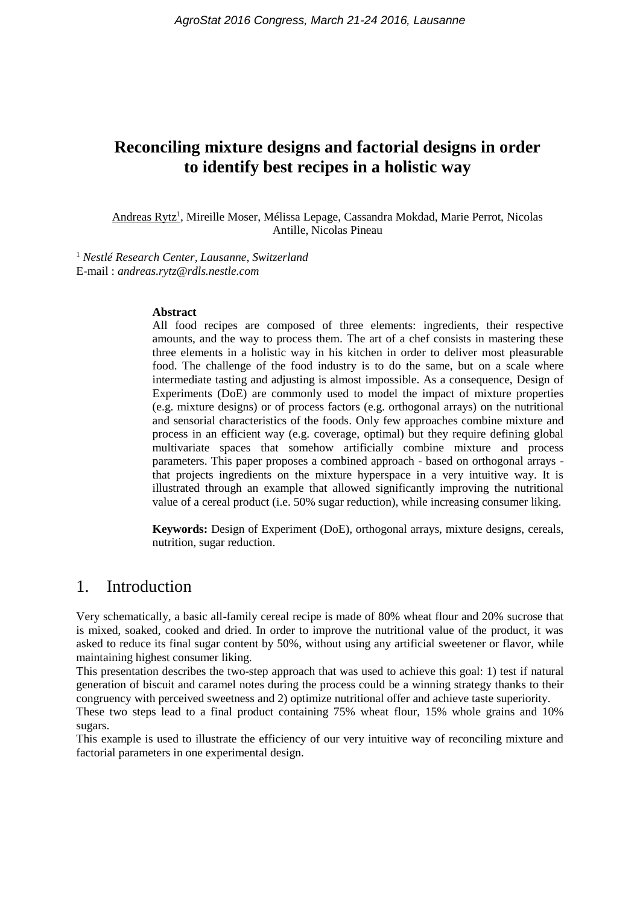# **Reconciling mixture designs and factorial designs in order to identify best recipes in a holistic way**

Andreas Rytz<sup>1</sup>, Mireille Moser, Mélissa Lepage, Cassandra Mokdad, Marie Perrot, Nicolas Antille, Nicolas Pineau

<sup>1</sup> *Nestlé Research Center, Lausanne, Switzerland* E-mail : *andreas.rytz@rdls.nestle.com*

#### **Abstract**

All food recipes are composed of three elements: ingredients, their respective amounts, and the way to process them. The art of a chef consists in mastering these three elements in a holistic way in his kitchen in order to deliver most pleasurable food. The challenge of the food industry is to do the same, but on a scale where intermediate tasting and adjusting is almost impossible. As a consequence, Design of Experiments (DoE) are commonly used to model the impact of mixture properties (e.g. mixture designs) or of process factors (e.g. orthogonal arrays) on the nutritional and sensorial characteristics of the foods. Only few approaches combine mixture and process in an efficient way (e.g. coverage, optimal) but they require defining global multivariate spaces that somehow artificially combine mixture and process parameters. This paper proposes a combined approach - based on orthogonal arrays that projects ingredients on the mixture hyperspace in a very intuitive way. It is illustrated through an example that allowed significantly improving the nutritional value of a cereal product (i.e. 50% sugar reduction), while increasing consumer liking.

**Keywords:** Design of Experiment (DoE), orthogonal arrays, mixture designs, cereals, nutrition, sugar reduction.

### 1. Introduction

Very schematically, a basic all-family cereal recipe is made of 80% wheat flour and 20% sucrose that is mixed, soaked, cooked and dried. In order to improve the nutritional value of the product, it was asked to reduce its final sugar content by 50%, without using any artificial sweetener or flavor, while maintaining highest consumer liking.

This presentation describes the two-step approach that was used to achieve this goal: 1) test if natural generation of biscuit and caramel notes during the process could be a winning strategy thanks to their congruency with perceived sweetness and 2) optimize nutritional offer and achieve taste superiority.

These two steps lead to a final product containing 75% wheat flour, 15% whole grains and 10% sugars.

This example is used to illustrate the efficiency of our very intuitive way of reconciling mixture and factorial parameters in one experimental design.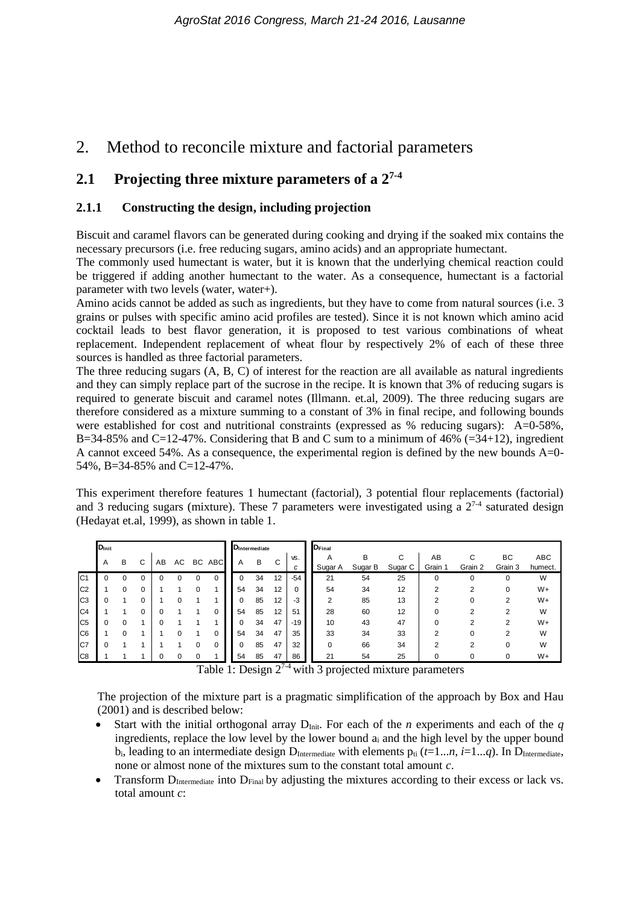# 2. Method to reconcile mixture and factorial parameters

### **2.1 Projecting three mixture parameters of a 27-4**

#### **2.1.1 Constructing the design, including projection**

Biscuit and caramel flavors can be generated during cooking and drying if the soaked mix contains the necessary precursors (i.e. free reducing sugars, amino acids) and an appropriate humectant.

The commonly used humectant is water, but it is known that the underlying chemical reaction could be triggered if adding another humectant to the water. As a consequence, humectant is a factorial parameter with two levels (water, water+).

Amino acids cannot be added as such as ingredients, but they have to come from natural sources (i.e. 3 grains or pulses with specific amino acid profiles are tested). Since it is not known which amino acid cocktail leads to best flavor generation, it is proposed to test various combinations of wheat replacement. Independent replacement of wheat flour by respectively 2% of each of these three sources is handled as three factorial parameters.

The three reducing sugars (A, B, C) of interest for the reaction are all available as natural ingredients and they can simply replace part of the sucrose in the recipe. It is known that 3% of reducing sugars is required to generate biscuit and caramel notes (Illmann. et.al, 2009). The three reducing sugars are therefore considered as a mixture summing to a constant of 3% in final recipe, and following bounds were established for cost and nutritional constraints (expressed as % reducing sugars): A=0-58%, B=34-85% and C=12-47%. Considering that B and C sum to a minimum of 46% (=34+12), ingredient A cannot exceed 54%. As a consequence, the experimental region is defined by the new bounds A=0- 54%, B=34-85% and C=12-47%.

This experiment therefore features 1 humectant (factorial), 3 potential flour replacements (factorial) and 3 reducing sugars (mixture). These 7 parameters were investigated using a  $2^{7-4}$  saturated design (Hedayat et.al, 1999), as shown in table 1.

|                                                               | $\mathbf{D}_{\text{Init}}$ |   |          |    |    |   |        |  | <b>D</b> Intermediate |    |    |       | D <sub>Final</sub> |         |         |          |         |               |            |
|---------------------------------------------------------------|----------------------------|---|----------|----|----|---|--------|--|-----------------------|----|----|-------|--------------------|---------|---------|----------|---------|---------------|------------|
|                                                               | Α                          | В | С        | AB | AC |   | BC ABC |  | A                     | В  | С  | VS.   | A                  | в       | C       | AB       | C       | ВC<br>Grain 3 | <b>ABC</b> |
|                                                               |                            |   |          |    |    |   |        |  |                       |    |    | c     | Sugar A            | Sugar B | Sugar C | Grain 1  | Grain 2 |               | humect.    |
| C <sub>1</sub>                                                |                            |   | 0        |    |    | 0 | 0      |  |                       | 34 | 12 | $-54$ | 21                 | 54      | 25      | $\Omega$ |         | 0             | W          |
| C <sub>2</sub>                                                |                            |   | 0        |    |    |   |        |  | 54                    | 34 | 12 |       | 54                 | 34      | 12      | າ        | っ       |               | $W+$       |
| C <sub>3</sub>                                                |                            |   | 0        |    |    |   |        |  |                       | 85 | 12 | -3    | ◠                  | 85      | 13      | າ        |         | ົ             | W+         |
| C <sub>4</sub>                                                |                            |   | $\Omega$ |    |    |   | 0      |  | 54                    | 85 | 12 | 51    | 28                 | 60      | 12      | $\Omega$ | ົ       | っ             | W          |
| C <sub>5</sub>                                                |                            |   |          |    |    |   |        |  |                       | 34 | 47 | $-19$ | 10                 | 43      | 47      |          | ົ       | ◠             | W+         |
| C <sub>6</sub>                                                |                            |   |          |    |    |   | 0      |  | 54                    | 34 | 47 | 35    | 33                 | 34      | 33      | ົ        |         | ີ             | W          |
| IC7                                                           | 0                          |   |          |    |    | 0 | 0      |  |                       | 85 | 47 | 32    | 0                  | 66      | 34      | 2        | ົ       |               | W          |
| C <sub>8</sub>                                                |                            |   |          |    |    |   |        |  | 54                    | 85 | 47 | 86    | 21                 | 54      | 25      | O        |         | 0             | $W+$       |
| Table 1: Design $2^{7-4}$ with 3 projected mixture parameters |                            |   |          |    |    |   |        |  |                       |    |    |       |                    |         |         |          |         |               |            |

Table 1: Design  $2^{7-4}$  with 3 projected mixture parameters

The projection of the mixture part is a pragmatic simplification of the approach by Box and Hau (2001) and is described below:

- Start with the initial orthogonal array  $D_{Init}$ . For each of the *n* experiments and each of the *q* ingredients, replace the low level by the lower bound a<sup>i</sup> and the high level by the upper bound  $b_i$ , leading to an intermediate design  $D_{\text{Intermediate}}$  with elements  $p_{ti}$  ( $t=1...n$ ,  $i=1...q$ ). In  $D_{\text{Intermediate}}$ , none or almost none of the mixtures sum to the constant total amount *c*.
- Transform  $D_{\text{Intermediate}}$  into  $D_{\text{Final}}$  by adjusting the mixtures according to their excess or lack vs. total amount *c*: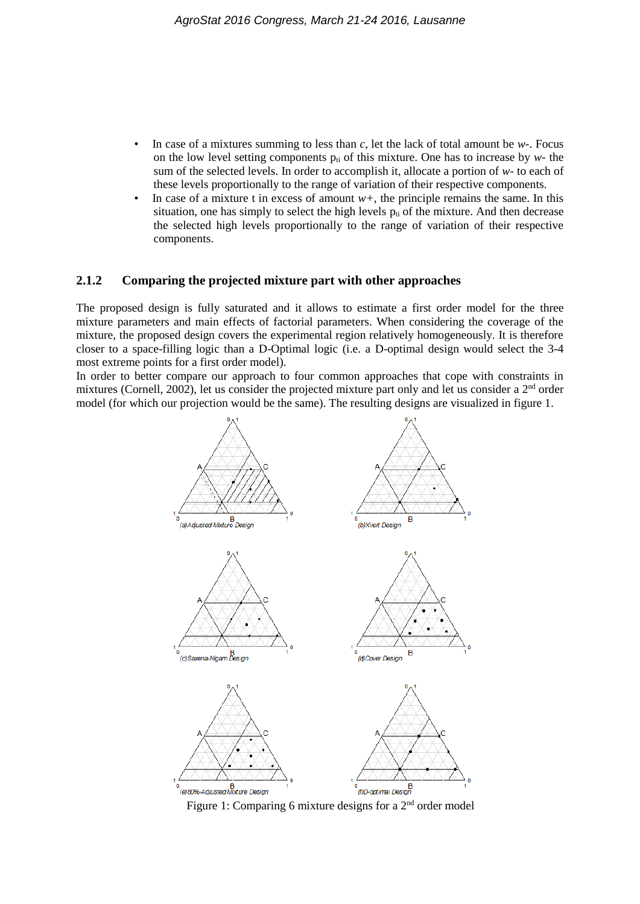- In case of a mixtures summing to less than *c*, let the lack of total amount be *w-*. Focus on the low level setting components  $p_{ti}$  of this mixture. One has to increase by  $w$ - the sum of the selected levels. In order to accomplish it, allocate a portion of *w-* to each of these levels proportionally to the range of variation of their respective components.
- In case of a mixture t in excess of amount  $w+$ , the principle remains the same. In this situation, one has simply to select the high levels  $p<sub>ti</sub>$  of the mixture. And then decrease the selected high levels proportionally to the range of variation of their respective components.

#### **2.1.2 Comparing the projected mixture part with other approaches**

The proposed design is fully saturated and it allows to estimate a first order model for the three mixture parameters and main effects of factorial parameters. When considering the coverage of the mixture, the proposed design covers the experimental region relatively homogeneously. It is therefore closer to a space-filling logic than a D-Optimal logic (i.e. a D-optimal design would select the 3-4 most extreme points for a first order model).

In order to better compare our approach to four common approaches that cope with constraints in mixtures (Cornell, 2002), let us consider the projected mixture part only and let us consider a 2<sup>nd</sup> order model (for which our projection would be the same). The resulting designs are visualized in figure 1.

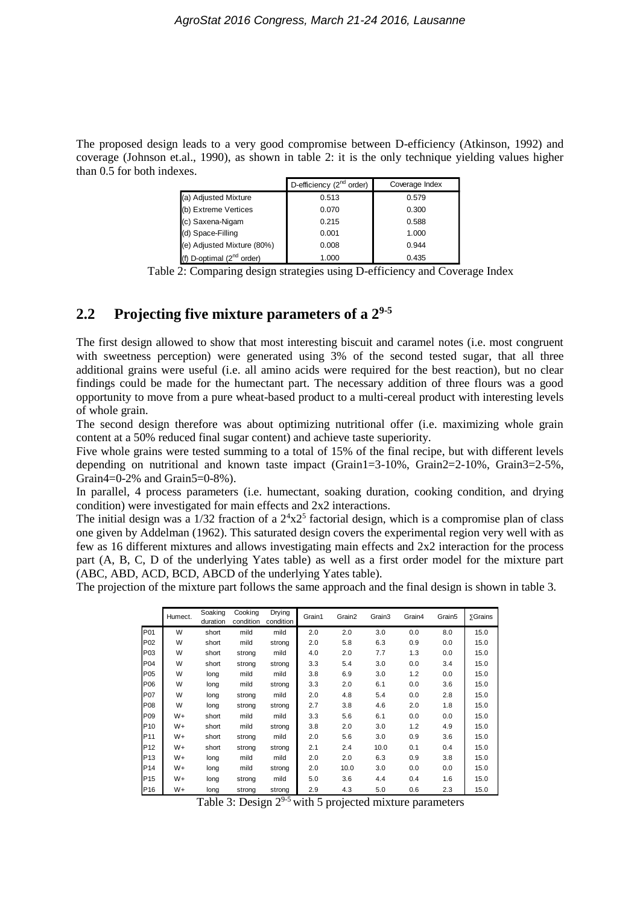The proposed design leads to a very good compromise between D-efficiency (Atkinson, 1992) and coverage (Johnson et.al., 1990), as shown in table 2: it is the only technique yielding values higher than 0.5 for both indexes.

|                                | D-efficiency (2 <sup>nd</sup> order) | Coverage Index |
|--------------------------------|--------------------------------------|----------------|
| (a) Adjusted Mixture           | 0.513                                | 0.579          |
| (b) Extreme Vertices           | 0.070                                | 0.300          |
| (c) Saxena-Nigam               | 0.215                                | 0.588          |
| (d) Space-Filling              | 0.001                                | 1.000          |
| (e) Adjusted Mixture (80%)     | 0.008                                | 0.944          |
| (f) D-optimal $(2^{nd}$ order) | 1.000                                | 0.435          |

Table 2: Comparing design strategies using D-efficiency and Coverage Index

### **2.2 Projecting five mixture parameters of a 29-5**

The first design allowed to show that most interesting biscuit and caramel notes (i.e. most congruent with sweetness perception) were generated using 3% of the second tested sugar, that all three additional grains were useful (i.e. all amino acids were required for the best reaction), but no clear findings could be made for the humectant part. The necessary addition of three flours was a good opportunity to move from a pure wheat-based product to a multi-cereal product with interesting levels of whole grain.

The second design therefore was about optimizing nutritional offer (i.e. maximizing whole grain content at a 50% reduced final sugar content) and achieve taste superiority.

Five whole grains were tested summing to a total of 15% of the final recipe, but with different levels depending on nutritional and known taste impact (Grain1=3-10%, Grain2=2-10%, Grain3=2-5%, Grain4=0-2% and Grain5=0-8%).

In parallel, 4 process parameters (i.e. humectant, soaking duration, cooking condition, and drying condition) were investigated for main effects and 2x2 interactions.

The initial design was a  $1/32$  fraction of a  $2^4 \times 2^5$  factorial design, which is a compromise plan of class one given by Addelman (1962). This saturated design covers the experimental region very well with as few as 16 different mixtures and allows investigating main effects and 2x2 interaction for the process part (A, B, C, D of the underlying Yates table) as well as a first order model for the mixture part (ABC, ABD, ACD, BCD, ABCD of the underlying Yates table).

The projection of the mixture part follows the same approach and the final design is shown in table 3.

|                 | Humect. | Soaking<br>duration | Cookina<br>condition | Drying<br>condition | Grain1 | Grain2 | Grain3 | Grain4 | Grain <sub>5</sub> | <b>5Grains</b> |
|-----------------|---------|---------------------|----------------------|---------------------|--------|--------|--------|--------|--------------------|----------------|
| P01             | W       | short               | mild                 | mild                | 2.0    | 2.0    | 3.0    | 0.0    | 8.0                | 15.0           |
| P <sub>02</sub> | W       | short               | mild                 | strong              | 2.0    | 5.8    | 6.3    | 0.9    | 0.0                | 15.0           |
| P03             | W       | short               | strong               | mild                | 4.0    | 2.0    | 7.7    | 1.3    | 0.0                | 15.0           |
| P04             | W       | short               | strong               | strong              | 3.3    | 5.4    | 3.0    | 0.0    | 3.4                | 15.0           |
| P05             | W       | long                | mild                 | mild                | 3.8    | 6.9    | 3.0    | 1.2    | 0.0                | 15.0           |
| P06             | W       | long                | mild                 | strong              | 3.3    | 2.0    | 6.1    | 0.0    | 3.6                | 15.0           |
| P07             | W       | long                | strong               | mild                | 2.0    | 4.8    | 5.4    | 0.0    | 2.8                | 15.0           |
| P08             | W       | long                | strong               | strong              | 2.7    | 3.8    | 4.6    | 2.0    | 1.8                | 15.0           |
| P09             | $W+$    | short               | mild                 | mild                | 3.3    | 5.6    | 6.1    | 0.0    | 0.0                | 15.0           |
| P <sub>10</sub> | $W+$    | short               | mild                 | strong              | 3.8    | 2.0    | 3.0    | 1.2    | 4.9                | 15.0           |
| P11             | $W+$    | short               | strong               | mild                | 2.0    | 5.6    | 3.0    | 0.9    | 3.6                | 15.0           |
| P12             | $W+$    | short               | strong               | strong              | 2.1    | 2.4    | 10.0   | 0.1    | 0.4                | 15.0           |
| P <sub>13</sub> | $W+$    | long                | mild                 | mild                | 2.0    | 2.0    | 6.3    | 0.9    | 3.8                | 15.0           |
| P14             | $W+$    | long                | mild                 | strong              | 2.0    | 10.0   | 3.0    | 0.0    | 0.0                | 15.0           |
| P <sub>15</sub> | $W+$    | long                | strong               | mild                | 5.0    | 3.6    | 4.4    | 0.4    | 1.6                | 15.0           |
| P16             | $W+$    | long                | strong               | strong              | 2.9    | 4.3    | 5.0    | 0.6    | 2.3                | 15.0           |

Table 3: Design  $2^{9.5}$  with 5 projected mixture parameters